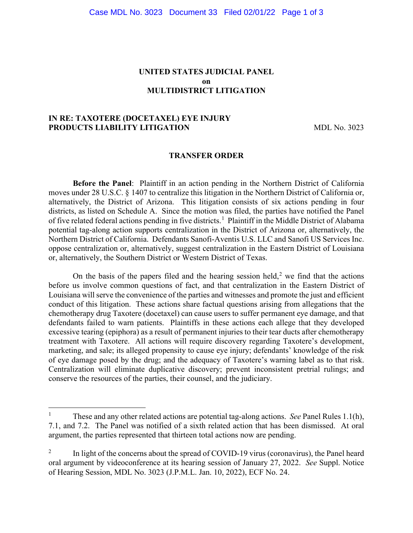# **UNITED STATES JUDICIAL PANEL on MULTIDISTRICT LITIGATION**

# **IN RE: TAXOTERE (DOCETAXEL) EYE INJURY PRODUCTS LIABILITY LITIGATION** MDL No. 3023

#### **TRANSFER ORDER**

**Before the Panel**: Plaintiff in an action pending in the Northern District of California moves under 28 U.S.C. § 1407 to centralize this litigation in the Northern District of California or, alternatively, the District of Arizona. This litigation consists of six actions pending in four districts, as listed on Schedule A. Since the motion was filed, the parties have notified the Panel of five related federal actions pending in five districts.<sup>[1](#page-0-0)</sup> Plaintiff in the Middle District of Alabama potential tag-along action supports centralization in the District of Arizona or, alternatively, the Northern District of California. Defendants Sanofi-Aventis U.S. LLC and Sanofi US Services Inc. oppose centralization or, alternatively, suggest centralization in the Eastern District of Louisiana or, alternatively, the Southern District or Western District of Texas.

On the basis of the papers filed and the hearing session held,<sup>[2](#page-0-1)</sup> we find that the actions before us involve common questions of fact, and that centralization in the Eastern District of Louisiana will serve the convenience of the parties and witnesses and promote the just and efficient conduct of this litigation. These actions share factual questions arising from allegations that the chemotherapy drug Taxotere (docetaxel) can cause users to suffer permanent eye damage, and that defendants failed to warn patients. Plaintiffs in these actions each allege that they developed excessive tearing (epiphora) as a result of permanent injuries to their tear ducts after chemotherapy treatment with Taxotere. All actions will require discovery regarding Taxotere's development, marketing, and sale; its alleged propensity to cause eye injury; defendants' knowledge of the risk of eye damage posed by the drug; and the adequacy of Taxotere's warning label as to that risk. Centralization will eliminate duplicative discovery; prevent inconsistent pretrial rulings; and conserve the resources of the parties, their counsel, and the judiciary.

<span id="page-0-0"></span><sup>&</sup>lt;sup>1</sup> These and any other related actions are potential tag-along actions. *See* Panel Rules 1.1(h), 7.1, and 7.2. The Panel was notified of a sixth related action that has been dismissed. At oral argument, the parties represented that thirteen total actions now are pending.

<span id="page-0-1"></span><sup>2</sup> In light of the concerns about the spread of COVID-19 virus (coronavirus), the Panel heard oral argument by videoconference at its hearing session of January 27, 2022. *See* Suppl. Notice of Hearing Session, MDL No. 3023 (J.P.M.L. Jan. 10, 2022), ECF No. 24.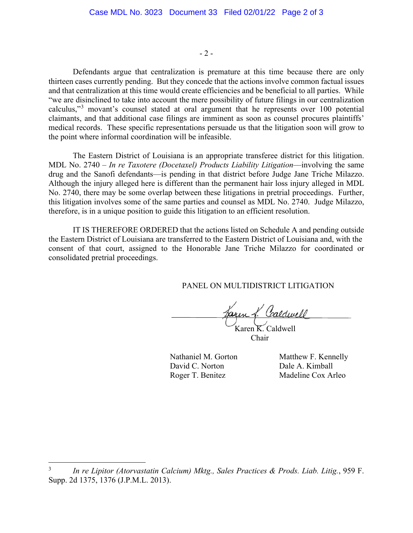$-2 -$ 

Defendants argue that centralization is premature at this time because there are only thirteen cases currently pending. But they concede that the actions involve common factual issues and that centralization at this time would create efficiencies and be beneficial to all parties. While "we are disinclined to take into account the mere possibility of future filings in our centralization calculus,"[3](#page-1-0) movant's counsel stated at oral argument that he represents over 100 potential claimants, and that additional case filings are imminent as soon as counsel procures plaintiffs' medical records. These specific representations persuade us that the litigation soon will grow to the point where informal coordination will be infeasible.

The Eastern District of Louisiana is an appropriate transferee district for this litigation. MDL No. 2740 – *In re Taxotere (Docetaxel) Products Liability Litigation*—involving the same drug and the Sanofi defendants—is pending in that district before Judge Jane Triche Milazzo. Although the injury alleged here is different than the permanent hair loss injury alleged in MDL No. 2740, there may be some overlap between these litigations in pretrial proceedings. Further, this litigation involves some of the same parties and counsel as MDL No. 2740. Judge Milazzo, therefore, is in a unique position to guide this litigation to an efficient resolution.

IT IS THEREFORE ORDERED that the actions listed on Schedule A and pending outside the Eastern District of Louisiana are transferred to the Eastern District of Louisiana and, with the consent of that court, assigned to the Honorable Jane Triche Milazzo for coordinated or consolidated pretrial proceedings.

PANEL ON MULTIDISTRICT LITIGATION

aren L. Caldwell Karen K. Caldwell

Chair

Nathaniel M. Gorton Matthew F. Kennelly David C. Norton Dale A. Kimball Roger T. Benitez Madeline Cox Arleo

Í

<span id="page-1-0"></span><sup>3</sup> *In re Lipitor (Atorvastatin Calcium) Mktg., Sales Practices & Prods. Liab. Litig.*, 959 F. Supp. 2d 1375, 1376 (J.P.M.L. 2013).